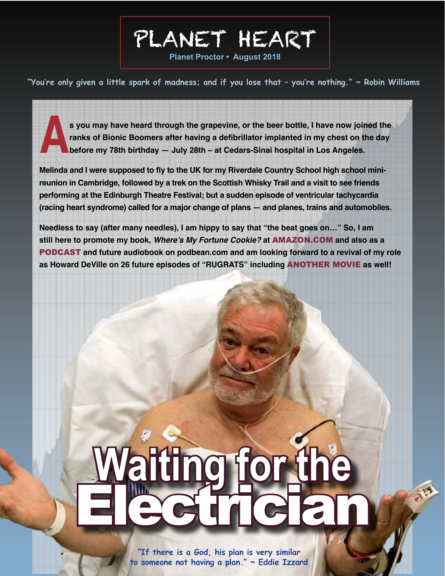**Planet Proctor • August 2018**

PLANET HEART

**"You're only given a little spark of madness; and if you lose that – you're nothing." ~ Robin Williams**

**As you may have heard through the grapevine, or the beer bottle, I have now joined the ranks of Bionic Boomers after having a defibrillator implanted in my chest on the day before my 78th birthday — July 28th – at Cedarsranks of Bionic Boomers after having a defibrillator implanted in my chest on the day before my 78th birthday — July 28th – at Cedars-Sinai hospital in Los Angeles.** 

**Melinda and I were supposed to fly to the UK for my Riverdale Country School high school minireunion in Cambridge, followed by a trek on the Scottish Whisky Trail and a visit to see friends performing at the Edinburgh Theatre Festival; but a sudden episode of ventricular tachycardia (racing heart syndrome) called for a major change of plans — and planes, trains and automobiles.**

**Needless to say (after many needles), I am hippy to say that "the beat goes on…" So, I am still here to promote my book, Where's My Fortune Cookie? at** [AMAZON.COM](https://www.amazon.com/Wheres-Fortune-Cookie-Phil-Proctor/dp/138970503X/ref=sr_1_1?ie=UTF8&qid=1534867666&sr=8-1&keywords=phil+proctor+where%27s+my+fortune+cookie) **and also as a**  [PODCAST](https://theproctorpodcast.podbean.com/) **and future audiobook on podbean.com and am looking forward to a revival of my role as Howard DeVille on 26 future episodes of "RUGRATS" including** [ANOTHER MOVIE](http://www.ign.com/articles/2018/07/17/rugrats-gets-tv-revival-and-new-feature-film-from-nickelodeon) **as well!**

# **Waiting for the** Electrician

西

**"If there is a God, his plan is very similar to someone not having a plan." ~ Eddie Izzard**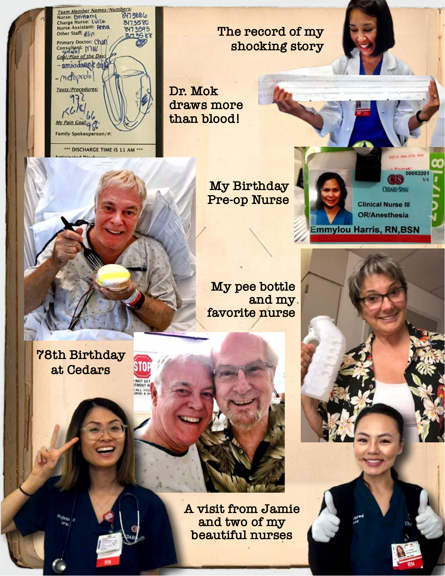

**The record of my shocking story**

**Dr. Mok draws more than blood!**

> **My Birthday Pre-op Nurse**

00052201 **CEDARS-SINA! Clinical Nurse III OR/Anesthesia Emmylou Harris, RN,BSN** 

n *CONTINUED*



**My pee bottle and my favorite nurse**

**78th Birthday at Cedars**

> **A visit from Jamie and two of my beautiful nurses**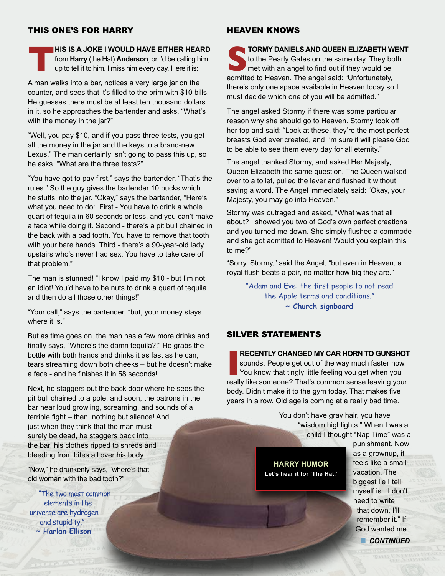# THIS ONE'S FOR HARRY

**THIS IS A JOKE I WOULD HAVE EITHER HEARD**<br>**THIS IS A JOKE I WOULD HAVE EITHER HEARD**<br>trom **Harry** (the Hat) **Anderson**, or I'd be calling him<br>up to tell it to him. I miss him every day. Here it is: from **Harry** (the Hat) **Anderson**, or I'd be calling him up to tell it to him. I miss him every day. Here it is:

A man walks into a bar, notices a very large jar on the counter, and sees that it's filled to the brim with \$10 bills. He guesses there must be at least ten thousand dollars in it, so he approaches the bartender and asks, "What's with the money in the jar?"

"Well, you pay \$10, and if you pass three tests, you get all the money in the jar and the keys to a brand-new Lexus." The man certainly isn't going to pass this up, so he asks, "What are the three tests?"

"You have got to pay first," says the bartender. "That's the rules." So the guy gives the bartender 10 bucks which he stuffs into the jar. "Okay," says the bartender, "Here's what you need to do: First - You have to drink a whole quart of tequila in 60 seconds or less, and you can't make a face while doing it. Second - there's a pit bull chained in the back with a bad tooth. You have to remove that tooth with your bare hands. Third - there's a 90-year-old lady upstairs who's never had sex. You have to take care of that problem."

The man is stunned! "I know I paid my \$10 - but I'm not an idiot! You'd have to be nuts to drink a quart of tequila and then do all those other things!"

"Your call," says the bartender, "but, your money stays where it is."

But as time goes on, the man has a few more drinks and finally says, "Where's the damn tequila?!" He grabs the bottle with both hands and drinks it as fast as he can, tears streaming down both cheeks – but he doesn't make a face - and he finishes it in 58 seconds!

Next, he staggers out the back door where he sees the pit bull chained to a pole; and soon, the patrons in the bar hear loud growling, screaming, and sounds of a terrible fight – then, nothing but silence! And just when they think that the man must surely be dead, he staggers back into the bar, his clothes ripped to shreds and bleeding from bites all over his body.

"Now," he drunkenly says, "where's that old woman with the bad tooth?"

"The two most common elements in the universe are hydrogen and stupidity." **~ Harlan Ellison**

#### HEAVEN KNOWS

**SPACE TORMY DANIELS AND QUEEN ELIZABETH WENT**<br>to the Pearly Gates on the same day. They both<br>met with an angel to find out if they would be<br>admitted to Heaven. The angel said: "Unfortunately. to the Pearly Gates on the same day. They both met with an angel to find out if they would be admitted to Heaven. The angel said: "Unfortunately, there's only one space available in Heaven today so I must decide which one of you will be admitted."

The angel asked Stormy if there was some particular reason why she should go to Heaven. Stormy took off her top and said: "Look at these, they're the most perfect breasts God ever created, and I'm sure it will please God to be able to see them every day for all eternity."

The angel thanked Stormy, and asked Her Majesty, Queen Elizabeth the same question. The Queen walked over to a toilet, pulled the lever and flushed it without saying a word. The Angel immediately said: "Okay, your Majesty, you may go into Heaven."

Stormy was outraged and asked, "What was that all about? I showed you two of God's own perfect creations and you turned me down. She simply flushed a commode and she got admitted to Heaven! Would you explain this to me?"

"Sorry, Stormy," said the Angel, "but even in Heaven, a royal flush beats a pair, no matter how big they are."

> "Adam and Eve: the first people to not read the Apple terms and conditions." **~ Church signboard**

# SILVER STATEMENTS

**INTERNATED MY CAR HORN TO GUNSHOT**<br>sounds. People get out of the way much faster now.<br>You know that tingly little feeling you get when you<br>really like someone? That's common sense leaving your **RECENTLY CHANGED MY CAR HORN TO GUNSHOT** sounds. People get out of the way much faster now. You know that tingly little feeling you get when you body. Didn't make it to the gym today. That makes five years in a row. Old age is coming at a really bad time.

> You don't have gray hair, you have "wisdom highlights." When I was a child I thought "Nap Time" was a

**HARRY HUMOR Let's hear it for 'The Hat.'** punishment. Now as a grownup, it feels like a small vacation. The biggest lie I tell myself is: "I don't need to write that down, I'll remember it." If God wanted me **n** CONTINUED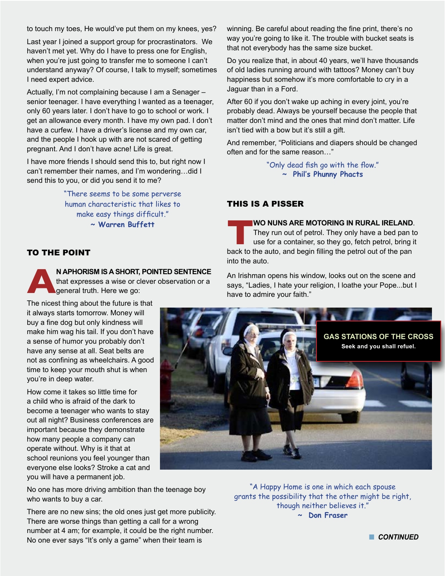to touch my toes, He would've put them on my knees, yes?

Last year I joined a support group for procrastinators. We haven't met yet. Why do I have to press one for English, when you're just going to transfer me to someone I can't understand anyway? Of course, I talk to myself; sometimes I need expert advice.

Actually, I'm not complaining because I am a Senager – senior teenager. I have everything I wanted as a teenager, only 60 years later. I don't have to go to school or work. I get an allowance every month. I have my own pad. I don't have a curfew. I have a driver's license and my own car, and the people I hook up with are not scared of getting pregnant. And I don't have acne! Life is great.

I have more friends I should send this to, but right now I can't remember their names, and I'm wondering…did I send this to you, or did you send it to me?

> "There seems to be some perverse human characteristic that likes to make easy things difficult." **~ Warren Buffett**

## TO THE POINT

**AN APHORISM IS A SHORT, POINTED SENTENCE**  that expresses a wise or clever observation or a general truth. Here we go:

The nicest thing about the future is that it always starts tomorrow. Money will buy a fine dog but only kindness will make him wag his tail. If you don't have a sense of humor you probably don't have any sense at all. Seat belts are not as confining as wheelchairs. A good time to keep your mouth shut is when you're in deep water.

How come it takes so little time for a child who is afraid of the dark to become a teenager who wants to stay out all night? Business conferences are important because they demonstrate how many people a company can operate without. Why is it that at school reunions you feel younger than everyone else looks? Stroke a cat and you will have a permanent job.

No one has more driving ambition than the teenage boy who wants to buy a car.

There are no new sins; the old ones just get more publicity. There are worse things than getting a call for a wrong number at 4 am; for example, it could be the right number. No one ever says "It's only a game" when their team is

winning. Be careful about reading the fine print, there's no way you're going to like it. The trouble with bucket seats is that not everybody has the same size bucket.

Do you realize that, in about 40 years, we'll have thousands of old ladies running around with tattoos? Money can't buy happiness but somehow it's more comfortable to cry in a Jaguar than in a Ford.

After 60 if you don't wake up aching in every joint, you're probably dead. Always be yourself because the people that matter don't mind and the ones that mind don't matter. Life isn't tied with a bow but it's still a gift.

And remember, "Politicians and diapers should be changed often and for the same reason…"

> "Only dead fish go with the flow." **~ Phil's Phunny Phacts**

# THIS IS A PISSER

**THE WO NUNS ARE MOTORING IN RURAL IRELAND.**<br>
They run out of petrol. They only have a bed pan to<br>
use for a container, so they go, fetch petrol, bring it<br>
back to the auto, and begin filling the petrol out of the pan They run out of petrol. They only have a bed pan to use for a container, so they go, fetch petrol, bring it into the auto.

An Irishman opens his window, looks out on the scene and says, "Ladies, I hate your religion, I loathe your Pope...but I have to admire your faith."



"A Happy Home is one in which each spouse grants the possibility that the other might be right, though neither believes it." **~ Don Fraser**

**n** CONTINUED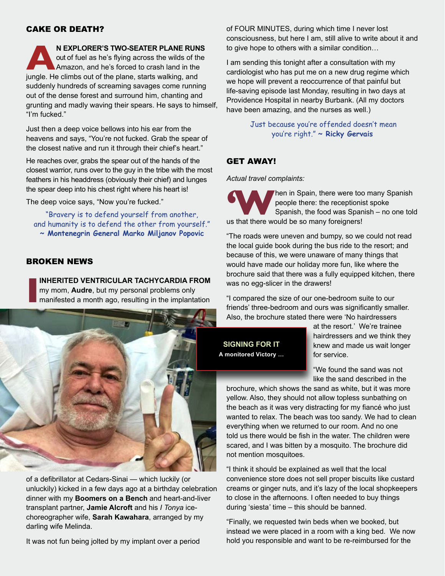## CAKE OR DEATH?

**A**<br>**A**<br>**A** Amazon, and he's fiying across the wilds of the<br>Amazon, and he's forced to crash land in the<br>jungle. He climbs out of the plane, starts walking, and out of fuel as he's flying across the wilds of the Amazon, and he's forced to crash land in the suddenly hundreds of screaming savages come running out of the dense forest and surround him, chanting and grunting and madly waving their spears. He says to himself, "I'm fucked."

Just then a deep voice bellows into his ear from the heavens and says, "You're not fucked. Grab the spear of the closest native and run it through their chief's heart."

He reaches over, grabs the spear out of the hands of the closest warrior, runs over to the guy in the tribe with the most feathers in his headdress (obviously their chief) and lunges the spear deep into his chest right where his heart is!

The deep voice says, "Now you're fucked."

"Bravery is to defend yourself from another, and humanity is to defend the other from yourself." **~ Montenegrin General Marko Miljanov Popovic**

# BROKEN NEWS

**INHERITED VENTRICULAR TACHYCARDIA FROM**  my mom, **Audre**, but my personal problems only manifested a month ago, resulting in the implantation



of a defibrillator at Cedars-Sinai — which luckily (or unluckily) kicked in a few days ago at a birthday celebration dinner with my **Boomers on a Bench** and heart-and-liver transplant partner, **Jamie Alcroft** and his *I Tonya* icechoreographer wife, **Sarah Kawahara**, arranged by my darling wife Melinda.

It was not fun being jolted by my implant over a period

of FOUR MINUTES, during which time I never lost consciousness, but here I am, still alive to write about it and to give hope to others with a similar condition…

I am sending this tonight after a consultation with my cardiologist who has put me on a new drug regime which we hope will prevent a reoccurrence of that painful but life-saving episode last Monday, resulting in two days at Providence Hospital in nearby Burbank. (All my doctors have been amazing, and the nurses as well.)

> Just because you're offended doesn't mean you're right." **~ Ricky Gervais**

# GET AWAY!

*Actual travel complaints:*

**1999 Marken in Spain, there were too many Spanish people there: the receptionist spoke Spanish, the food was Spanish – no one tole<br>us that there would be so many foreigners!** people there: the receptionist spoke Spanish, the food was Spanish – no one told us that there would be so many foreigners!

"The roads were uneven and bumpy, so we could not read the local guide book during the bus ride to the resort; and because of this, we were unaware of many things that would have made our holiday more fun, like where the brochure said that there was a fully equipped kitchen, there was no egg-slicer in the drawers!

"I compared the size of our one-bedroom suite to our friends' three-bedroom and ours was significantly smaller. Also, the brochure stated there were 'No hairdressers

**SIGNING FOR IT A monitored Victory …**  at the resort.' We're trainee hairdressers and we think they knew and made us wait longer for service.

"We found the sand was not like the sand described in the

brochure, which shows the sand as white, but it was more yellow. Also, they should not allow topless sunbathing on the beach as it was very distracting for my fiancé who just wanted to relax. The beach was too sandy. We had to clean everything when we returned to our room. And no one told us there would be fish in the water. The children were scared, and I was bitten by a mosquito. The brochure did not mention mosquitoes.

"I think it should be explained as well that the local convenience store does not sell proper biscuits like custard creams or ginger nuts, and it's lazy of the local shopkeepers to close in the afternoons. I often needed to buy things during 'siesta' time – this should be banned.

"Finally, we requested twin beds when we booked, but instead we were placed in a room with a king bed. We now hold you responsible and want to be re-reimbursed for the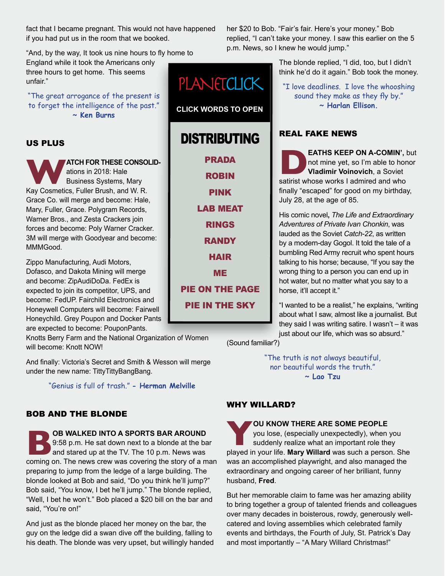fact that I became pregnant. This would not have happened if you had put us in the room that we booked.

"And, by the way, It took us nine hours to fly home to

England while it took the Americans only three hours to get home. This seems unfair."

"The great arrogance of the present is to forget the intelligence of the past." **~ Ken Burns**

# US PLUS

**WATCH FOR THESE CONSOLID-**<br> **ATCH FOR THESE CONSOLID-**<br>
Business Systems, Mary<br>
Kay Cosmetics, Fuller Brush, and W. R. ations in 2018: Hale Business Systems, Mary Grace Co. will merge and become: Hale, Mary, Fuller, Grace. Polygram Records, Warner Bros., and Zesta Crackers join forces and become: Poly Warner Cracker. 3M will merge with Goodyear and become: MMMGood.

Zippo Manufacturing, Audi Motors, Dofasco, and Dakota Mining will merge and become: ZipAudiDoDa. FedEx is expected to join its competitor, UPS, and become: FedUP. Fairchild Electronics and Honeywell Computers will become: Fairwell Honeychild. Grey Poupon and Docker Pants are expected to become: PouponPants.

Knotts Berry Farm and the National Organization of Women will become: Knott NOW!

And finally: Victoria's Secret and Smith & Wesson will merge under the new name: TittyTittyBangBang.

"Genius is full of trash." **- Herman Melville**

# BOB AND THE BLONDE

**BB** WALKED INTO A SPORTS BAR AROUND **9:58 p.m.** He sat down next to a blonde at the ba and stared up at the TV. The 10 p.m. News was coming on. The news crew was covering the story of a m 9:58 p.m. He sat down next to a blonde at the bar and stared up at the TV. The 10 p.m. News was coming on. The news crew was covering the story of a man preparing to jump from the ledge of a large building. The blonde looked at Bob and said, "Do you think he'll jump?" Bob said, "You know, I bet he'll jump." The blonde replied, "Well, I bet he won't." Bob placed a \$20 bill on the bar and said, "You're on!"

And just as the blonde placed her money on the bar, the guy on the ledge did a swan dive off the building, falling to his death. The blonde was very upset, but willingly handed her \$20 to Bob. "Fair's fair. Here's your money." Bob replied, "I can't take your money. I saw this earlier on the 5 p.m. News, so I knew he would jump."

> The blonde replied, "I did, too, but I didn't think he'd do it again." Bob took the money.

"I love deadlines. I love the whooshing sound they make as they fly by." **~ Harlan Ellison.**

# REAL FAKE NEWS

**DEATHS KEEP ON A-COMIN',** but not mine yet, so I'm able to honor **Vladimir Voinovich**, a Soviet satirist whose works I admired and who not mine yet, so I'm able to honor **Vladimir Voinovich**, a Soviet finally "escaped" for good on my birthday, July 28, at the age of 85.

His comic novel**,** *The Life and Extraordinary Adventures of Private Ivan Chonkin*, was lauded as the Soviet *Catch-22*, as written by a modern-day Gogol. It told the tale of a bumbling Red Army recruit who spent hours talking to his horse; because, "If you say the wrong thing to a person you can end up in hot water, but no matter what you say to a horse, it'll accept it."

"I wanted to be a realist," he explains, "writing about what I saw, almost like a journalist. But they said I was writing satire. I wasn't – it was just about our life, which was so absurd."

(Sound familiar?)

"The truth is not always beautiful, nor beautiful words the truth." **~ Lao Tzu**

# WHY WILLARD?

**YOU KNOW THERE ARE SOME PEOPLE**<br>you lose, (especially unexpectedly), when you<br>suddenly realize what an important role they<br>played in your life. **Mary Willard** was such a person. She you lose, (especially unexpectedly), when you suddenly realize what an important role they was an accomplished playwright, and also managed the extraordinary and ongoing career of her brilliant, funny husband, **Fred**.

But her memorable claim to fame was her amazing ability to bring together a group of talented friends and colleagues over many decades in boisterous, rowdy, generously wellcatered and loving assemblies which celebrated family events and birthdays, the Fourth of July, St. Patrick's Day and most importantly – "A Mary Willard Christmas!"

**CLICK WORDS TO OPEN** DISTRIBUTING [PRADA](https://www.youtube.com/watch?v=u1XMTLKn6RA) [ROBIN](https://www.youtube.com/watch?v=Wr9ZDDXUWUM&list=RDl2SliEAGamw) [PINK](https://www.facebook.com/dearalyne/videos/194488441235252/UzpfSTEwODgxOTcxMzEzNTQ1OTpWSzoxOTQ0ODg0NDEyMzUyNTI/) [LAB MEAT](https://www.facebook.com/ScienceNaturePage/videos/1380402768758644/UzpfSTEwMDAwMTQ3NzUyNjUzMzoxODk1MzM4MjgwNTI1NDA0/) [RINGS](https://www.youtube.com/watch?v=NYrp1tziWtg) **[RANDY](https://www.youtube.com/watch?v=k-LTRwZb35A) [HAIR](http://www.elisbergindustries.com/blog/crosswalk-the-musical-grows-some-hair)** [ME](https://www.youtube.com/watch?v=J55S38xwxnQDUCK: http://linkedin.com) [PIE ON THE PAGE](http://www.ba-bamail.com/content.aspx?emailid=30433) [PIE IN THE SKY](https://na01.safelinks.protection.outlook.com/?url=https%3A%2F%2Fwww.youtube.com%2Fembed%2F7QCYDzsQ_yM%3Frel%3D0&data=02%7C01%7C%7C4a3d56cb6b8a43d8acb008d564cdf952%7C84df9e7fe9f640afb435aaaaaaaaaaaa%7C1%7C0%7C636525758164810606&sdata=88aovycfjEu%2BwB4iyMM%2B%2B5H6jmvFZ0bsi%2ByXoxlThWE%3D&reserved=0)

PLANETCLICK